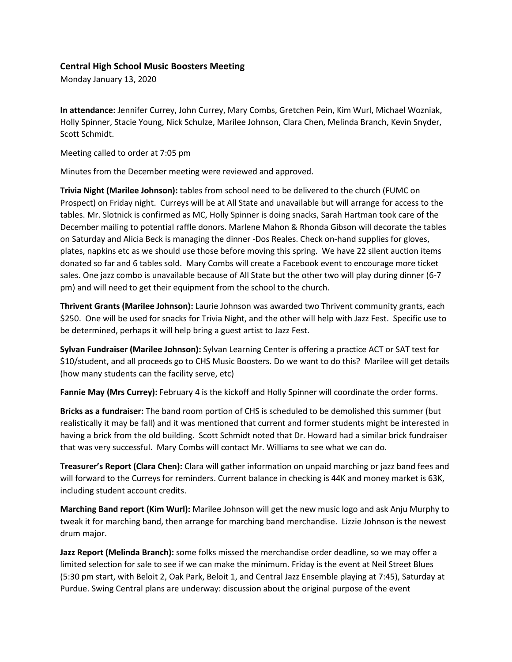## **Central High School Music Boosters Meeting**

Monday January 13, 2020

**In attendance:** Jennifer Currey, John Currey, Mary Combs, Gretchen Pein, Kim Wurl, Michael Wozniak, Holly Spinner, Stacie Young, Nick Schulze, Marilee Johnson, Clara Chen, Melinda Branch, Kevin Snyder, Scott Schmidt.

Meeting called to order at 7:05 pm

Minutes from the December meeting were reviewed and approved.

**Trivia Night (Marilee Johnson):** tables from school need to be delivered to the church (FUMC on Prospect) on Friday night. Curreys will be at All State and unavailable but will arrange for access to the tables. Mr. Slotnick is confirmed as MC, Holly Spinner is doing snacks, Sarah Hartman took care of the December mailing to potential raffle donors. Marlene Mahon & Rhonda Gibson will decorate the tables on Saturday and Alicia Beck is managing the dinner -Dos Reales. Check on-hand supplies for gloves, plates, napkins etc as we should use those before moving this spring. We have 22 silent auction items donated so far and 6 tables sold. Mary Combs will create a Facebook event to encourage more ticket sales. One jazz combo is unavailable because of All State but the other two will play during dinner (6-7 pm) and will need to get their equipment from the school to the church.

**Thrivent Grants (Marilee Johnson):** Laurie Johnson was awarded two Thrivent community grants, each \$250. One will be used for snacks for Trivia Night, and the other will help with Jazz Fest. Specific use to be determined, perhaps it will help bring a guest artist to Jazz Fest.

**Sylvan Fundraiser (Marilee Johnson):** Sylvan Learning Center is offering a practice ACT or SAT test for \$10/student, and all proceeds go to CHS Music Boosters. Do we want to do this? Marilee will get details (how many students can the facility serve, etc)

**Fannie May (Mrs Currey):** February 4 is the kickoff and Holly Spinner will coordinate the order forms.

**Bricks as a fundraiser:** The band room portion of CHS is scheduled to be demolished this summer (but realistically it may be fall) and it was mentioned that current and former students might be interested in having a brick from the old building. Scott Schmidt noted that Dr. Howard had a similar brick fundraiser that was very successful. Mary Combs will contact Mr. Williams to see what we can do.

**Treasurer's Report (Clara Chen):** Clara will gather information on unpaid marching or jazz band fees and will forward to the Curreys for reminders. Current balance in checking is 44K and money market is 63K, including student account credits.

**Marching Band report (Kim Wurl):** Marilee Johnson will get the new music logo and ask Anju Murphy to tweak it for marching band, then arrange for marching band merchandise. Lizzie Johnson is the newest drum major.

**Jazz Report (Melinda Branch):** some folks missed the merchandise order deadline, so we may offer a limited selection for sale to see if we can make the minimum. Friday is the event at Neil Street Blues (5:30 pm start, with Beloit 2, Oak Park, Beloit 1, and Central Jazz Ensemble playing at 7:45), Saturday at Purdue. Swing Central plans are underway: discussion about the original purpose of the event